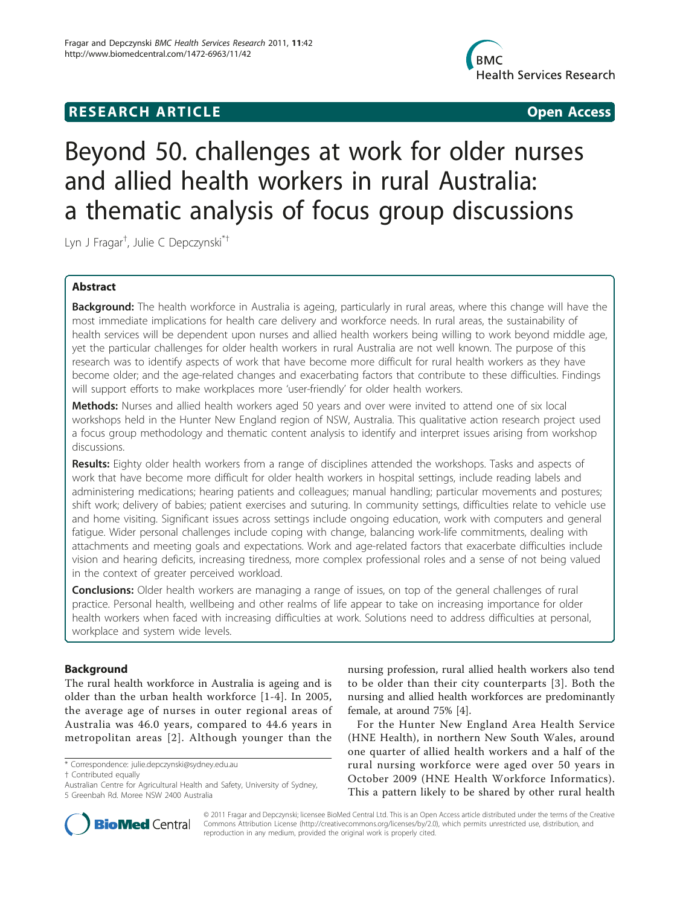## **RESEARCH ARTICLE Example 2018 CONSIDERING ACCESS**



# Beyond 50. challenges at work for older nurses and allied health workers in rural Australia: a thematic analysis of focus group discussions

Lyn J Fragar<sup>†</sup>, Julie C Depczynski<sup>\*†</sup>

## Abstract

Background: The health workforce in Australia is ageing, particularly in rural areas, where this change will have the most immediate implications for health care delivery and workforce needs. In rural areas, the sustainability of health services will be dependent upon nurses and allied health workers being willing to work beyond middle age, yet the particular challenges for older health workers in rural Australia are not well known. The purpose of this research was to identify aspects of work that have become more difficult for rural health workers as they have become older; and the age-related changes and exacerbating factors that contribute to these difficulties. Findings will support efforts to make workplaces more 'user-friendly' for older health workers.

Methods: Nurses and allied health workers aged 50 years and over were invited to attend one of six local workshops held in the Hunter New England region of NSW, Australia. This qualitative action research project used a focus group methodology and thematic content analysis to identify and interpret issues arising from workshop discussions.

Results: Eighty older health workers from a range of disciplines attended the workshops. Tasks and aspects of work that have become more difficult for older health workers in hospital settings, include reading labels and administering medications; hearing patients and colleagues; manual handling; particular movements and postures; shift work; delivery of babies; patient exercises and suturing. In community settings, difficulties relate to vehicle use and home visiting. Significant issues across settings include ongoing education, work with computers and general fatigue. Wider personal challenges include coping with change, balancing work-life commitments, dealing with attachments and meeting goals and expectations. Work and age-related factors that exacerbate difficulties include vision and hearing deficits, increasing tiredness, more complex professional roles and a sense of not being valued in the context of greater perceived workload.

**Conclusions:** Older health workers are managing a range of issues, on top of the general challenges of rural practice. Personal health, wellbeing and other realms of life appear to take on increasing importance for older health workers when faced with increasing difficulties at work. Solutions need to address difficulties at personal, workplace and system wide levels.

## Background

The rural health workforce in Australia is ageing and is older than the urban health workforce [[1-4\]](#page-11-0). In 2005, the average age of nurses in outer regional areas of Australia was 46.0 years, compared to 44.6 years in metropolitan areas [[2](#page-11-0)]. Although younger than the

† Contributed equally

nursing profession, rural allied health workers also tend to be older than their city counterparts [[3](#page-11-0)]. Both the nursing and allied health workforces are predominantly female, at around 75% [[4\]](#page-11-0).

For the Hunter New England Area Health Service (HNE Health), in northern New South Wales, around one quarter of allied health workers and a half of the rural nursing workforce were aged over 50 years in October 2009 (HNE Health Workforce Informatics). This a pattern likely to be shared by other rural health



© 2011 Fragar and Depczynski; licensee BioMed Central Ltd. This is an Open Access article distributed under the terms of the Creative Commons Attribution License [\(http://creativecommons.org/licenses/by/2.0](http://creativecommons.org/licenses/by/2.0)), which permits unrestricted use, distribution, and reproduction in any medium, provided the original work is properly cited.

<sup>\*</sup> Correspondence: [julie.depczynski@sydney.edu.au](mailto:julie.depczynski@sydney.edu.au)

Australian Centre for Agricultural Health and Safety, University of Sydney, 5 Greenbah Rd. Moree NSW 2400 Australia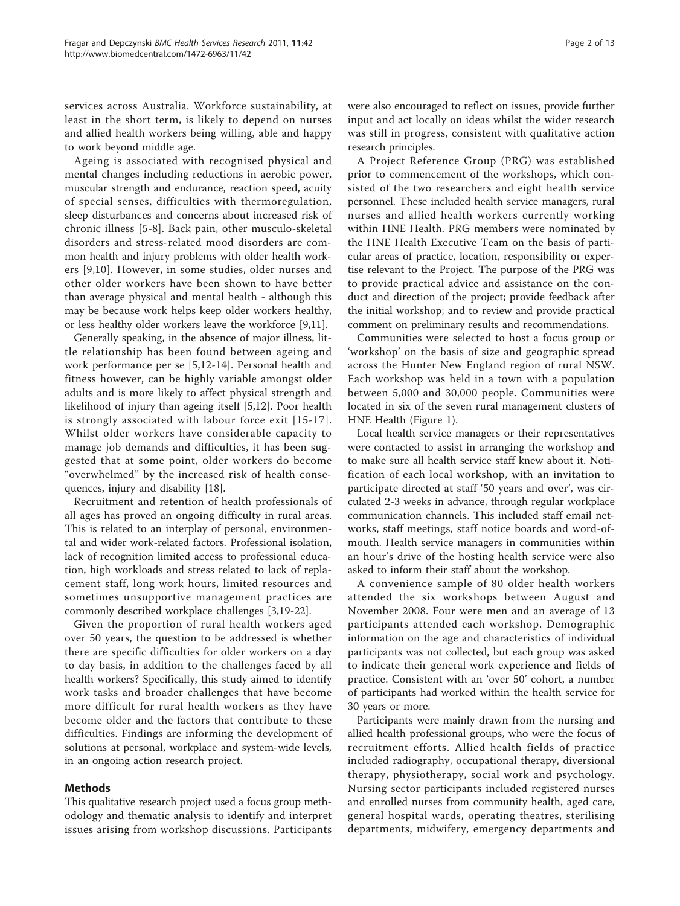services across Australia. Workforce sustainability, at least in the short term, is likely to depend on nurses and allied health workers being willing, able and happy to work beyond middle age.

Ageing is associated with recognised physical and mental changes including reductions in aerobic power, muscular strength and endurance, reaction speed, acuity of special senses, difficulties with thermoregulation, sleep disturbances and concerns about increased risk of chronic illness [[5-8](#page-11-0)]. Back pain, other musculo-skeletal disorders and stress-related mood disorders are common health and injury problems with older health workers [[9,10](#page-11-0)]. However, in some studies, older nurses and other older workers have been shown to have better than average physical and mental health - although this may be because work helps keep older workers healthy, or less healthy older workers leave the workforce [\[9,11](#page-11-0)].

Generally speaking, in the absence of major illness, little relationship has been found between ageing and work performance per se [\[5](#page-11-0),[12](#page-11-0)-[14\]](#page-11-0). Personal health and fitness however, can be highly variable amongst older adults and is more likely to affect physical strength and likelihood of injury than ageing itself [[5,12\]](#page-11-0). Poor health is strongly associated with labour force exit [[15](#page-11-0)-[17\]](#page-11-0). Whilst older workers have considerable capacity to manage job demands and difficulties, it has been suggested that at some point, older workers do become "overwhelmed" by the increased risk of health consequences, injury and disability [\[18](#page-11-0)].

Recruitment and retention of health professionals of all ages has proved an ongoing difficulty in rural areas. This is related to an interplay of personal, environmental and wider work-related factors. Professional isolation, lack of recognition limited access to professional education, high workloads and stress related to lack of replacement staff, long work hours, limited resources and sometimes unsupportive management practices are commonly described workplace challenges [\[3](#page-11-0),[19](#page-11-0)-[22\]](#page-12-0).

Given the proportion of rural health workers aged over 50 years, the question to be addressed is whether there are specific difficulties for older workers on a day to day basis, in addition to the challenges faced by all health workers? Specifically, this study aimed to identify work tasks and broader challenges that have become more difficult for rural health workers as they have become older and the factors that contribute to these difficulties. Findings are informing the development of solutions at personal, workplace and system-wide levels, in an ongoing action research project.

## Methods

This qualitative research project used a focus group methodology and thematic analysis to identify and interpret issues arising from workshop discussions. Participants were also encouraged to reflect on issues, provide further input and act locally on ideas whilst the wider research was still in progress, consistent with qualitative action research principles.

A Project Reference Group (PRG) was established prior to commencement of the workshops, which consisted of the two researchers and eight health service personnel. These included health service managers, rural nurses and allied health workers currently working within HNE Health. PRG members were nominated by the HNE Health Executive Team on the basis of particular areas of practice, location, responsibility or expertise relevant to the Project. The purpose of the PRG was to provide practical advice and assistance on the conduct and direction of the project; provide feedback after the initial workshop; and to review and provide practical comment on preliminary results and recommendations.

Communities were selected to host a focus group or 'workshop' on the basis of size and geographic spread across the Hunter New England region of rural NSW. Each workshop was held in a town with a population between 5,000 and 30,000 people. Communities were located in six of the seven rural management clusters of HNE Health (Figure [1\)](#page-2-0).

Local health service managers or their representatives were contacted to assist in arranging the workshop and to make sure all health service staff knew about it. Notification of each local workshop, with an invitation to participate directed at staff '50 years and over', was circulated 2-3 weeks in advance, through regular workplace communication channels. This included staff email networks, staff meetings, staff notice boards and word-ofmouth. Health service managers in communities within an hour's drive of the hosting health service were also asked to inform their staff about the workshop.

A convenience sample of 80 older health workers attended the six workshops between August and November 2008. Four were men and an average of 13 participants attended each workshop. Demographic information on the age and characteristics of individual participants was not collected, but each group was asked to indicate their general work experience and fields of practice. Consistent with an 'over 50' cohort, a number of participants had worked within the health service for 30 years or more.

Participants were mainly drawn from the nursing and allied health professional groups, who were the focus of recruitment efforts. Allied health fields of practice included radiography, occupational therapy, diversional therapy, physiotherapy, social work and psychology. Nursing sector participants included registered nurses and enrolled nurses from community health, aged care, general hospital wards, operating theatres, sterilising departments, midwifery, emergency departments and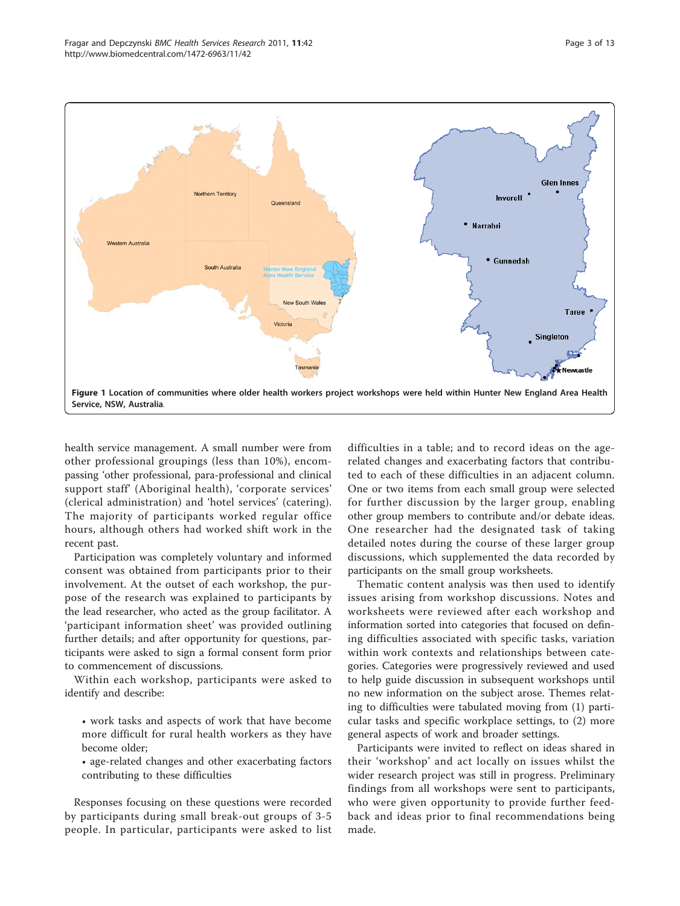<span id="page-2-0"></span>

health service management. A small number were from other professional groupings (less than 10%), encompassing 'other professional, para-professional and clinical support staff' (Aboriginal health), 'corporate services' (clerical administration) and 'hotel services' (catering). The majority of participants worked regular office hours, although others had worked shift work in the recent past.

Participation was completely voluntary and informed consent was obtained from participants prior to their involvement. At the outset of each workshop, the purpose of the research was explained to participants by the lead researcher, who acted as the group facilitator. A 'participant information sheet' was provided outlining further details; and after opportunity for questions, participants were asked to sign a formal consent form prior to commencement of discussions.

Within each workshop, participants were asked to identify and describe:

- work tasks and aspects of work that have become more difficult for rural health workers as they have become older;
- age-related changes and other exacerbating factors contributing to these difficulties

Responses focusing on these questions were recorded by participants during small break-out groups of 3-5 people. In particular, participants were asked to list difficulties in a table; and to record ideas on the agerelated changes and exacerbating factors that contributed to each of these difficulties in an adjacent column. One or two items from each small group were selected for further discussion by the larger group, enabling other group members to contribute and/or debate ideas. One researcher had the designated task of taking detailed notes during the course of these larger group discussions, which supplemented the data recorded by participants on the small group worksheets.

Thematic content analysis was then used to identify issues arising from workshop discussions. Notes and worksheets were reviewed after each workshop and information sorted into categories that focused on defining difficulties associated with specific tasks, variation within work contexts and relationships between categories. Categories were progressively reviewed and used to help guide discussion in subsequent workshops until no new information on the subject arose. Themes relating to difficulties were tabulated moving from (1) particular tasks and specific workplace settings, to (2) more general aspects of work and broader settings.

Participants were invited to reflect on ideas shared in their 'workshop' and act locally on issues whilst the wider research project was still in progress. Preliminary findings from all workshops were sent to participants, who were given opportunity to provide further feedback and ideas prior to final recommendations being made.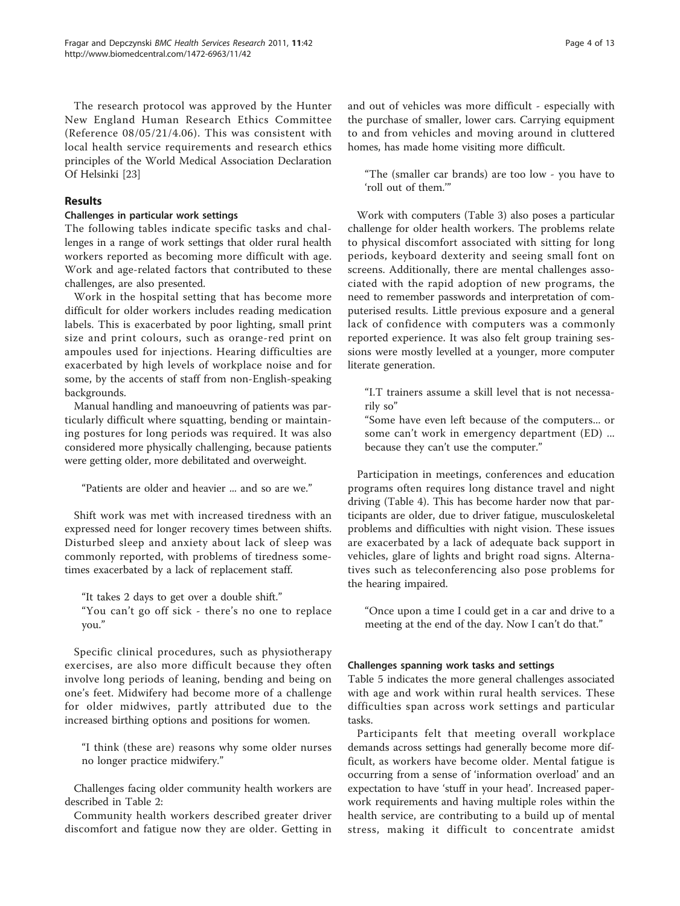The research protocol was approved by the Hunter New England Human Research Ethics Committee (Reference 08/05/21/4.06). This was consistent with local health service requirements and research ethics principles of the World Medical Association Declaration Of Helsinki [\[23](#page-12-0)]

## Results

### Challenges in particular work settings

The following tables indicate specific tasks and challenges in a range of work settings that older rural health workers reported as becoming more difficult with age. Work and age-related factors that contributed to these challenges, are also presented.

Work in the hospital setting that has become more difficult for older workers includes reading medication labels. This is exacerbated by poor lighting, small print size and print colours, such as orange-red print on ampoules used for injections. Hearing difficulties are exacerbated by high levels of workplace noise and for some, by the accents of staff from non-English-speaking backgrounds.

Manual handling and manoeuvring of patients was particularly difficult where squatting, bending or maintaining postures for long periods was required. It was also considered more physically challenging, because patients were getting older, more debilitated and overweight.

"Patients are older and heavier ... and so are we."

Shift work was met with increased tiredness with an expressed need for longer recovery times between shifts. Disturbed sleep and anxiety about lack of sleep was commonly reported, with problems of tiredness sometimes exacerbated by a lack of replacement staff.

"It takes 2 days to get over a double shift." "You can't go off sick - there's no one to replace you."

Specific clinical procedures, such as physiotherapy exercises, are also more difficult because they often involve long periods of leaning, bending and being on one's feet. Midwifery had become more of a challenge for older midwives, partly attributed due to the increased birthing options and positions for women.

"I think (these are) reasons why some older nurses no longer practice midwifery."

Challenges facing older community health workers are described in Table [2:](#page-6-0)

Community health workers described greater driver discomfort and fatigue now they are older. Getting in and out of vehicles was more difficult - especially with the purchase of smaller, lower cars. Carrying equipment to and from vehicles and moving around in cluttered homes, has made home visiting more difficult.

"The (smaller car brands) are too low - you have to 'roll out of them.'"

Work with computers (Table [3\)](#page-7-0) also poses a particular challenge for older health workers. The problems relate to physical discomfort associated with sitting for long periods, keyboard dexterity and seeing small font on screens. Additionally, there are mental challenges associated with the rapid adoption of new programs, the need to remember passwords and interpretation of computerised results. Little previous exposure and a general lack of confidence with computers was a commonly reported experience. It was also felt group training sessions were mostly levelled at a younger, more computer literate generation.

"I.T trainers assume a skill level that is not necessarily so"

"Some have even left because of the computers... or some can't work in emergency department (ED) ... because they can't use the computer."

Participation in meetings, conferences and education programs often requires long distance travel and night driving (Table [4\)](#page-8-0). This has become harder now that participants are older, due to driver fatigue, musculoskeletal problems and difficulties with night vision. These issues are exacerbated by a lack of adequate back support in vehicles, glare of lights and bright road signs. Alternatives such as teleconferencing also pose problems for the hearing impaired.

"Once upon a time I could get in a car and drive to a meeting at the end of the day. Now I can't do that."

## Challenges spanning work tasks and settings

Table [5](#page-9-0) indicates the more general challenges associated with age and work within rural health services. These difficulties span across work settings and particular tasks.

Participants felt that meeting overall workplace demands across settings had generally become more difficult, as workers have become older. Mental fatigue is occurring from a sense of 'information overload' and an expectation to have 'stuff in your head'. Increased paperwork requirements and having multiple roles within the health service, are contributing to a build up of mental stress, making it difficult to concentrate amidst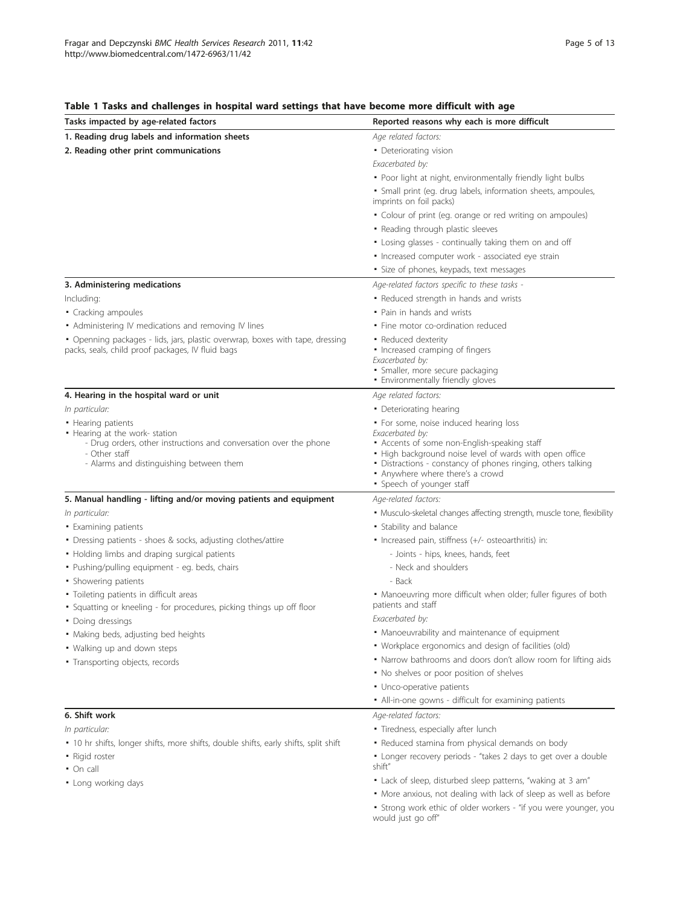#### Tasks impacted by age-related factors **Reported reasons why each is more difficult** 1. Reading drug labels and information sheets **Age related factors:** Age related factors: 2. Reading other print communications **Busic Communications Periorating vision** Exacerbated by: ▪ Poor light at night, environmentally friendly light bulbs ▪ Small print (eg. drug labels, information sheets, ampoules, imprints on foil packs) ▪ Colour of print (eg. orange or red writing on ampoules) ▪ Reading through plastic sleeves ▪ Losing glasses - continually taking them on and off ▪ Increased computer work - associated eye strain ▪ Size of phones, keypads, text messages **3. Administering medications** and the state of these tasks - the age-related factors specific to these tasks -Including: The Including: The Including: The Including: The Including: The Including: The Including: The Including Support of The Including Support of The Including Support of The Including Support of The Including Support • Cracking ampoules **• Pain in hands and wrists • Pain in hands and wrists** • Administering IV medications and removing IV lines **The State Report Fine motor co-ordination reduced** • Openning packages - lids, jars, plastic overwrap, boxes with tape, dressing packs, seals, child proof packages, IV fluid bags ▪ Reduced dexterity ▪ Increased cramping of fingers Exacerbated by: • Smaller, more secure packaging **•** Environmentally friendly gloves 4. Hearing in the hospital ward or unit Age related factors: In particular: The particular: The particular: The particular: The particular: The particular: The particular: ▪ Hearing patients ▪ Hearing at the work- station - Drug orders, other instructions and conversation over the phone - Other staff - Alarms and distinguishing between them ▪ For some, noise induced hearing loss Exacerbated by: ▪ Accents of some non-English-speaking staff ▪ High background noise level of wards with open office ▪ Distractions - constancy of phones ringing, others talking ▪ Anywhere where there's a crowd ▪ Speech of younger staff 5. Manual handling - lifting and/or moving patients and equipment Age-related factors: In particular: **In particular: Example 2018** Musculo-skeletal changes affecting strength, muscle tone, flexibility ■ Examining patients **■** Stability and balance • Dressing patients - shoes & socks, adjusting clothes/attire • The Thereased pain, stiffness (+/- osteoarthritis) in: • Holding limbs and draping surgical patients - Joints - hips, knees, hands, feet • Pushing/pulling equipment - eg. beds, chairs - Neck and shoulders - Neck and shoulders **•** Showering patients **and a structure of the structure of the structure of the Back**  $\overline{a}$  **Back**  $\overline{b}$ • Toileting patients in difficult areas Theorem 1997 Toileting patients in difficult when older; fuller figures of both • Squatting or kneeling - for procedures, picking things up off floor batients and staff ▪ Doing dressings Exacerbated by: • Making beds, adjusting bed heights **Wandel Strategies \* Manoeuvrability and maintenance of equipment** ▪ Walking up and down steps ▪ Workplace ergonomics and design of facilities (old) • Transporting objects, records **Exercise 2018** Transporting objects, records **Transporting objects**, records and the **Narrow bathrooms** and doors don't allow room for lifting aids ▪ No shelves or poor position of shelves ▪ Unco-operative patients ▪ All-in-one gowns - difficult for examining patients **6. Shift work** Age-related factors: In particular: Tiredness, especially after lunch • 10 hr shifts, longer shifts, more shifts, double shifts, early shifts, split shift **Reduced stamina from physical demands on body** • Rigid roster **Example 2 days to get over a double** Longer recovery periods - "takes 2 days to get over a double ■ On call shift" • Long working days **Example 2018** The Lack of sleep, disturbed sleep patterns, "waking at 3 am"

#### Table 1 Tasks and challenges in hospital ward settings that have become more difficult with age

▪ More anxious, not dealing with lack of sleep as well as before

▪ Strong work ethic of older workers - "if you were younger, you would just go off"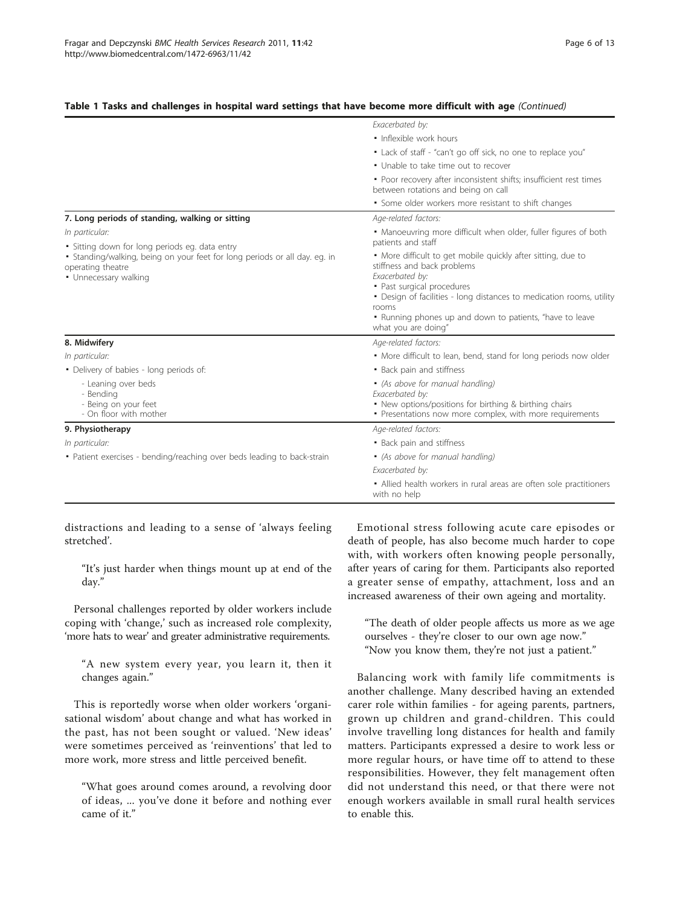#### Table 1 Tasks and challenges in hospital ward settings that have become more difficult with age (Continued)

|                                                                                                                          | Exacerbated by:                                                                                                                                                                                                                                                                                                  |  |  |  |  |
|--------------------------------------------------------------------------------------------------------------------------|------------------------------------------------------------------------------------------------------------------------------------------------------------------------------------------------------------------------------------------------------------------------------------------------------------------|--|--|--|--|
|                                                                                                                          | · Inflexible work hours                                                                                                                                                                                                                                                                                          |  |  |  |  |
|                                                                                                                          | • Lack of staff - "can't go off sick, no one to replace you"                                                                                                                                                                                                                                                     |  |  |  |  |
|                                                                                                                          | . Unable to take time out to recover                                                                                                                                                                                                                                                                             |  |  |  |  |
|                                                                                                                          | . Poor recovery after inconsistent shifts; insufficient rest times<br>between rotations and being on call                                                                                                                                                                                                        |  |  |  |  |
|                                                                                                                          | • Some older workers more resistant to shift changes                                                                                                                                                                                                                                                             |  |  |  |  |
| 7. Long periods of standing, walking or sitting                                                                          | Age-related factors:                                                                                                                                                                                                                                                                                             |  |  |  |  |
| In particular:<br>• Sitting down for long periods eg. data entry                                                         | . Manoeuvring more difficult when older, fuller figures of both<br>patients and staff                                                                                                                                                                                                                            |  |  |  |  |
| • Standing/walking, being on your feet for long periods or all day. eg. in<br>operating theatre<br>• Unnecessary walking | . More difficult to get mobile quickly after sitting, due to<br>stiffness and back problems<br>Exacerbated by:<br>• Past surgical procedures<br>• Design of facilities - long distances to medication rooms, utility<br>rooms<br>. Running phones up and down to patients, "have to leave<br>what you are doing" |  |  |  |  |
| 8. Midwifery                                                                                                             | Age-related factors:                                                                                                                                                                                                                                                                                             |  |  |  |  |
| In particular:                                                                                                           | • More difficult to lean, bend, stand for long periods now older                                                                                                                                                                                                                                                 |  |  |  |  |
| • Delivery of babies - long periods of:                                                                                  | • Back pain and stiffness                                                                                                                                                                                                                                                                                        |  |  |  |  |
| - Leaning over beds<br>- Bending<br>- Being on your feet<br>- On floor with mother                                       | • (As above for manual handling)<br>Exacerbated by:<br>• New options/positions for birthing & birthing chairs<br>· Presentations now more complex, with more requirements                                                                                                                                        |  |  |  |  |
| 9. Physiotherapy                                                                                                         | Age-related factors:                                                                                                                                                                                                                                                                                             |  |  |  |  |
| In particular:                                                                                                           | • Back pain and stiffness                                                                                                                                                                                                                                                                                        |  |  |  |  |
| • Patient exercises - bending/reaching over beds leading to back-strain                                                  | • (As above for manual handling)                                                                                                                                                                                                                                                                                 |  |  |  |  |
|                                                                                                                          | Exacerbated by:                                                                                                                                                                                                                                                                                                  |  |  |  |  |
|                                                                                                                          | • Allied health workers in rural areas are often sole practitioners<br>with no help                                                                                                                                                                                                                              |  |  |  |  |

distractions and leading to a sense of 'always feeling stretched'.

"It's just harder when things mount up at end of the day."

Personal challenges reported by older workers include coping with 'change,' such as increased role complexity, 'more hats to wear' and greater administrative requirements.

"A new system every year, you learn it, then it changes again."

This is reportedly worse when older workers 'organisational wisdom' about change and what has worked in the past, has not been sought or valued. 'New ideas' were sometimes perceived as 'reinventions' that led to more work, more stress and little perceived benefit.

"What goes around comes around, a revolving door of ideas, ... you've done it before and nothing ever came of it."

Emotional stress following acute care episodes or death of people, has also become much harder to cope with, with workers often knowing people personally, after years of caring for them. Participants also reported a greater sense of empathy, attachment, loss and an increased awareness of their own ageing and mortality.

"The death of older people affects us more as we age ourselves - they're closer to our own age now." "Now you know them, they're not just a patient."

Balancing work with family life commitments is another challenge. Many described having an extended carer role within families - for ageing parents, partners, grown up children and grand-children. This could involve travelling long distances for health and family matters. Participants expressed a desire to work less or more regular hours, or have time off to attend to these responsibilities. However, they felt management often did not understand this need, or that there were not enough workers available in small rural health services to enable this.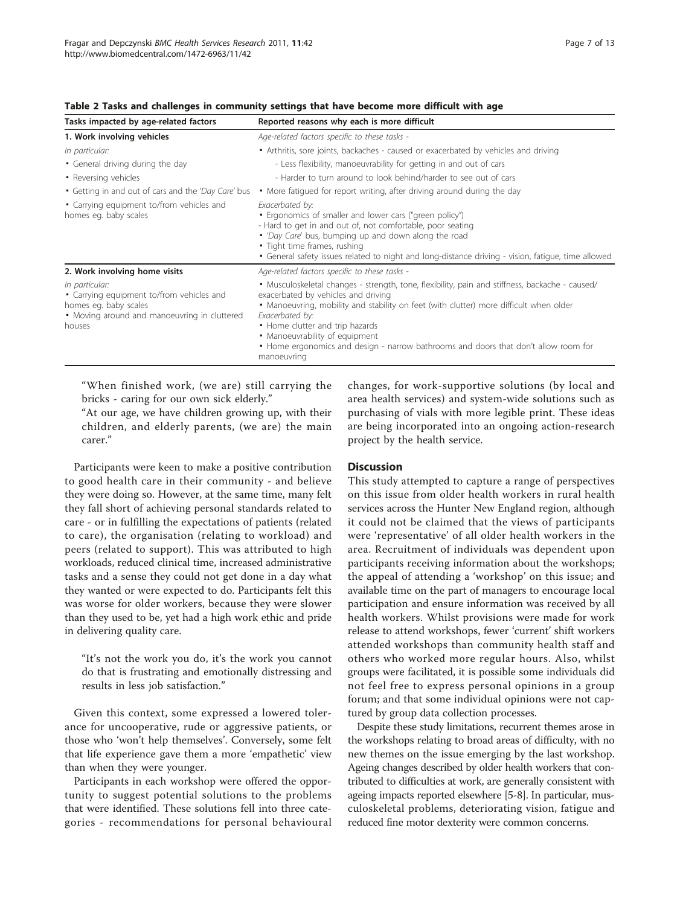| Tasks impacted by age-related factors                                                                                                          | Reported reasons why each is more difficult                                                                                                                                                                                                                                                                                                                                                                                    |
|------------------------------------------------------------------------------------------------------------------------------------------------|--------------------------------------------------------------------------------------------------------------------------------------------------------------------------------------------------------------------------------------------------------------------------------------------------------------------------------------------------------------------------------------------------------------------------------|
| 1. Work involving vehicles                                                                                                                     | Age-related factors specific to these tasks -                                                                                                                                                                                                                                                                                                                                                                                  |
| In particular:                                                                                                                                 | • Arthritis, sore joints, backaches - caused or exacerbated by vehicles and driving                                                                                                                                                                                                                                                                                                                                            |
| • General driving during the day                                                                                                               | - Less flexibility, manoeuvrability for getting in and out of cars                                                                                                                                                                                                                                                                                                                                                             |
| • Reversing vehicles                                                                                                                           | - Harder to turn around to look behind/harder to see out of cars                                                                                                                                                                                                                                                                                                                                                               |
| • Getting in and out of cars and the 'Day Care' bus                                                                                            | • More fatigued for report writing, after driving around during the day                                                                                                                                                                                                                                                                                                                                                        |
| • Carrying equipment to/from vehicles and<br>homes eg. baby scales                                                                             | Exacerbated by:<br>• Ergonomics of smaller and lower cars ("green policy")<br>- Hard to get in and out of, not comfortable, poor seating<br>• 'Day Care' bus, bumping up and down along the road<br>. Tight time frames, rushing<br>• General safety issues related to night and long-distance driving - vision, fatigue, time allowed                                                                                         |
| 2. Work involving home visits                                                                                                                  | Age-related factors specific to these tasks -                                                                                                                                                                                                                                                                                                                                                                                  |
| In particular:<br>• Carrying equipment to/from vehicles and<br>homes eg. baby scales<br>• Moving around and manoeuvring in cluttered<br>houses | • Musculoskeletal changes - strength, tone, flexibility, pain and stiffness, backache - caused/<br>exacerbated by vehicles and driving<br>• Manoeuvring, mobility and stability on feet (with clutter) more difficult when older<br>Exacerbated by:<br>• Home clutter and trip hazards<br>• Manoeuvrability of equipment<br>• Home ergonomics and design - narrow bathrooms and doors that don't allow room for<br>manoeuvring |

#### <span id="page-6-0"></span>Table 2 Tasks and challenges in community settings that have become more difficult with age

"When finished work, (we are) still carrying the bricks - caring for our own sick elderly."

"At our age, we have children growing up, with their children, and elderly parents, (we are) the main carer."

Participants were keen to make a positive contribution to good health care in their community - and believe they were doing so. However, at the same time, many felt they fall short of achieving personal standards related to care - or in fulfilling the expectations of patients (related to care), the organisation (relating to workload) and peers (related to support). This was attributed to high workloads, reduced clinical time, increased administrative tasks and a sense they could not get done in a day what they wanted or were expected to do. Participants felt this was worse for older workers, because they were slower than they used to be, yet had a high work ethic and pride in delivering quality care.

"It's not the work you do, it's the work you cannot do that is frustrating and emotionally distressing and results in less job satisfaction."

Given this context, some expressed a lowered tolerance for uncooperative, rude or aggressive patients, or those who 'won't help themselves'. Conversely, some felt that life experience gave them a more 'empathetic' view than when they were younger.

Participants in each workshop were offered the opportunity to suggest potential solutions to the problems that were identified. These solutions fell into three categories - recommendations for personal behavioural

changes, for work-supportive solutions (by local and area health services) and system-wide solutions such as purchasing of vials with more legible print. These ideas are being incorporated into an ongoing action-research project by the health service.

#### **Discussion**

This study attempted to capture a range of perspectives on this issue from older health workers in rural health services across the Hunter New England region, although it could not be claimed that the views of participants were 'representative' of all older health workers in the area. Recruitment of individuals was dependent upon participants receiving information about the workshops; the appeal of attending a 'workshop' on this issue; and available time on the part of managers to encourage local participation and ensure information was received by all health workers. Whilst provisions were made for work release to attend workshops, fewer 'current' shift workers attended workshops than community health staff and others who worked more regular hours. Also, whilst groups were facilitated, it is possible some individuals did not feel free to express personal opinions in a group forum; and that some individual opinions were not captured by group data collection processes.

Despite these study limitations, recurrent themes arose in the workshops relating to broad areas of difficulty, with no new themes on the issue emerging by the last workshop. Ageing changes described by older health workers that contributed to difficulties at work, are generally consistent with ageing impacts reported elsewhere [\[5-8\]](#page-11-0). In particular, musculoskeletal problems, deteriorating vision, fatigue and reduced fine motor dexterity were common concerns.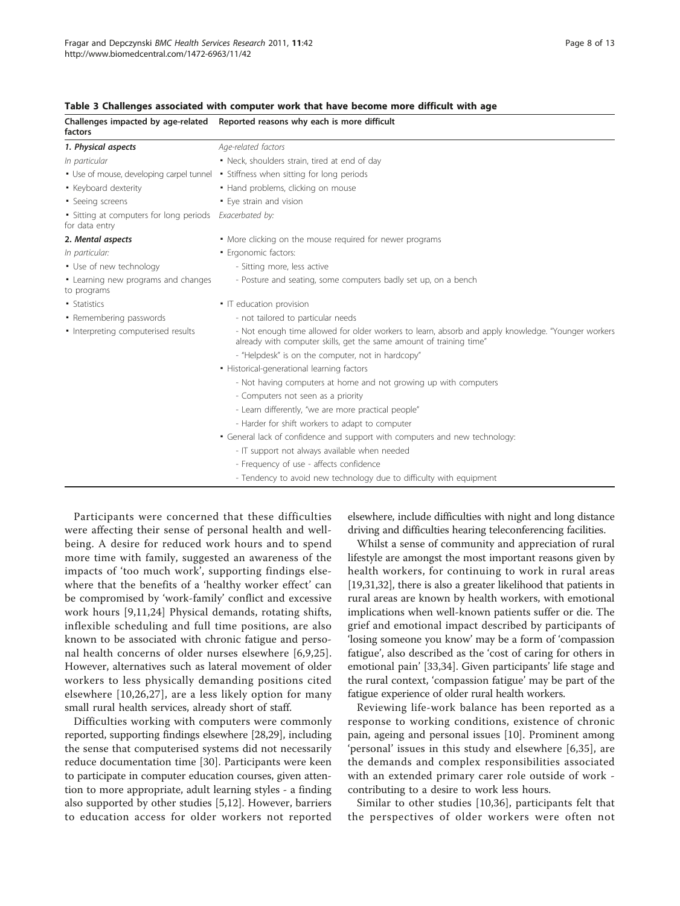| factors                                                   | Challenges impacted by age-related Reported reasons why each is more difficult                                                                                            |
|-----------------------------------------------------------|---------------------------------------------------------------------------------------------------------------------------------------------------------------------------|
| 1. Physical aspects                                       | Age-related factors                                                                                                                                                       |
| In particular                                             | . Neck, shoulders strain, tired at end of day                                                                                                                             |
|                                                           | • Use of mouse, developing carpel tunnel • Stiffness when sitting for long periods                                                                                        |
| • Keyboard dexterity                                      | • Hand problems, clicking on mouse                                                                                                                                        |
| • Seeing screens                                          | • Eye strain and vision                                                                                                                                                   |
| • Sitting at computers for long periods<br>for data entry | Exacerbated by:                                                                                                                                                           |
| 2. Mental aspects                                         | • More clicking on the mouse required for newer programs                                                                                                                  |
| In particular:                                            | · Ergonomic factors:                                                                                                                                                      |
| • Use of new technology                                   | - Sitting more, less active                                                                                                                                               |
| • Learning new programs and changes<br>to programs        | - Posture and seating, some computers badly set up, on a bench                                                                                                            |
| • Statistics                                              | • IT education provision                                                                                                                                                  |
| • Remembering passwords                                   | - not tailored to particular needs                                                                                                                                        |
| • Interpreting computerised results                       | - Not enough time allowed for older workers to learn, absorb and apply knowledge. "Younger workers<br>already with computer skills, get the same amount of training time" |
|                                                           | - "Helpdesk" is on the computer, not in hardcopy"                                                                                                                         |
|                                                           | • Historical-generational learning factors                                                                                                                                |
|                                                           | - Not having computers at home and not growing up with computers                                                                                                          |
|                                                           | - Computers not seen as a priority                                                                                                                                        |
|                                                           | - Learn differently, "we are more practical people"                                                                                                                       |
|                                                           | - Harder for shift workers to adapt to computer                                                                                                                           |
|                                                           | • General lack of confidence and support with computers and new technology:                                                                                               |
|                                                           | - IT support not always available when needed                                                                                                                             |
|                                                           | - Frequency of use - affects confidence                                                                                                                                   |
|                                                           | - Tendency to avoid new technology due to difficulty with equipment                                                                                                       |

<span id="page-7-0"></span>Table 3 Challenges associated with computer work that have become more difficult with age

Participants were concerned that these difficulties were affecting their sense of personal health and wellbeing. A desire for reduced work hours and to spend more time with family, suggested an awareness of the impacts of 'too much work', supporting findings elsewhere that the benefits of a 'healthy worker effect' can be compromised by 'work-family' conflict and excessive work hours [[9,11](#page-11-0),[24\]](#page-12-0) Physical demands, rotating shifts, inflexible scheduling and full time positions, are also known to be associated with chronic fatigue and personal health concerns of older nurses elsewhere [[6](#page-11-0),[9,](#page-11-0)[25](#page-12-0)]. However, alternatives such as lateral movement of older workers to less physically demanding positions cited elsewhere [\[10,](#page-11-0)[26](#page-12-0),[27\]](#page-12-0), are a less likely option for many small rural health services, already short of staff.

Difficulties working with computers were commonly reported, supporting findings elsewhere [\[28,29\]](#page-12-0), including the sense that computerised systems did not necessarily reduce documentation time [[30](#page-12-0)]. Participants were keen to participate in computer education courses, given attention to more appropriate, adult learning styles - a finding also supported by other studies [[5,12\]](#page-11-0). However, barriers to education access for older workers not reported elsewhere, include difficulties with night and long distance driving and difficulties hearing teleconferencing facilities.

Whilst a sense of community and appreciation of rural lifestyle are amongst the most important reasons given by health workers, for continuing to work in rural areas [[19](#page-11-0)[,31,32\]](#page-12-0), there is also a greater likelihood that patients in rural areas are known by health workers, with emotional implications when well-known patients suffer or die. The grief and emotional impact described by participants of 'losing someone you know' may be a form of 'compassion fatigue', also described as the 'cost of caring for others in emotional pain' [\[33,34](#page-12-0)]. Given participants' life stage and the rural context, 'compassion fatigue' may be part of the fatigue experience of older rural health workers.

Reviewing life-work balance has been reported as a response to working conditions, existence of chronic pain, ageing and personal issues [[10\]](#page-11-0). Prominent among 'personal' issues in this study and elsewhere [\[6](#page-11-0),[35\]](#page-12-0), are the demands and complex responsibilities associated with an extended primary carer role outside of work contributing to a desire to work less hours.

Similar to other studies [[10](#page-11-0),[36\]](#page-12-0), participants felt that the perspectives of older workers were often not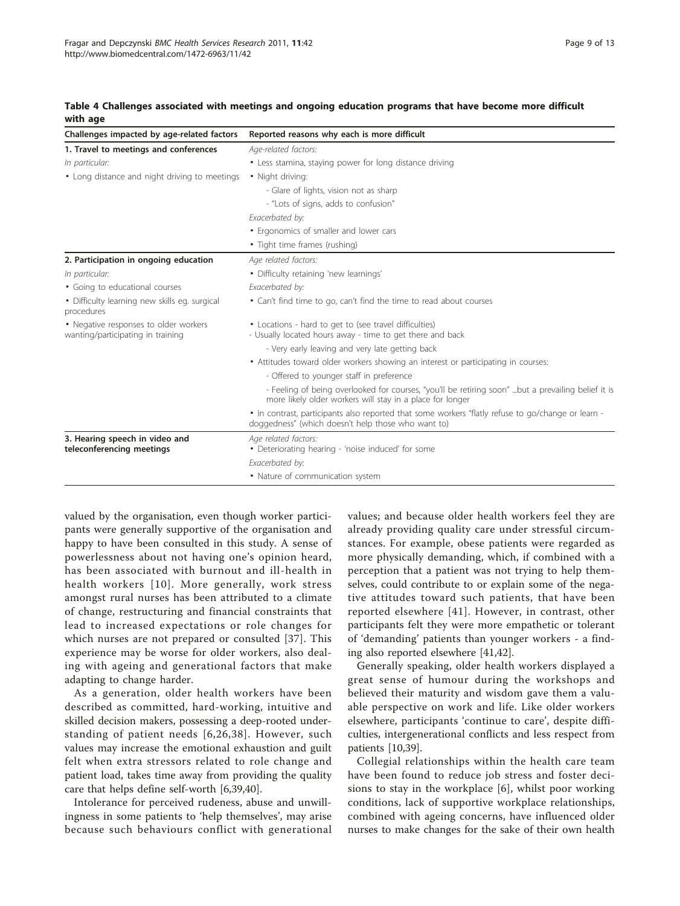<span id="page-8-0"></span>

| Table 4 Challenges associated with meetings and ongoing education programs that have become more difficult |  |  |  |  |  |
|------------------------------------------------------------------------------------------------------------|--|--|--|--|--|
| with age                                                                                                   |  |  |  |  |  |

| Challenges impacted by age-related factors                                 | Reported reasons why each is more difficult                                                                                                                     |
|----------------------------------------------------------------------------|-----------------------------------------------------------------------------------------------------------------------------------------------------------------|
| 1. Travel to meetings and conferences                                      | Age-related factors:                                                                                                                                            |
| In particular:                                                             | • Less stamina, staying power for long distance driving                                                                                                         |
| • Long distance and night driving to meetings                              | • Night driving:                                                                                                                                                |
|                                                                            | - Glare of lights, vision not as sharp                                                                                                                          |
|                                                                            | - "Lots of signs, adds to confusion"                                                                                                                            |
|                                                                            | Exacerbated by:                                                                                                                                                 |
|                                                                            | • Ergonomics of smaller and lower cars                                                                                                                          |
|                                                                            | • Tight time frames (rushing)                                                                                                                                   |
| 2. Participation in ongoing education                                      | Age related factors:                                                                                                                                            |
| In particular:                                                             | · Difficulty retaining 'new learnings'                                                                                                                          |
| • Going to educational courses                                             | Exacerbated by:                                                                                                                                                 |
| • Difficulty learning new skills eg. surgical<br>procedures                | • Can't find time to go, can't find the time to read about courses                                                                                              |
| • Negative responses to older workers<br>wanting/participating in training | • Locations - hard to get to (see travel difficulties)<br>- Usually located hours away - time to get there and back                                             |
|                                                                            | - Very early leaving and very late getting back                                                                                                                 |
|                                                                            | • Attitudes toward older workers showing an interest or participating in courses:                                                                               |
|                                                                            | - Offered to younger staff in preference                                                                                                                        |
|                                                                            | - Feeling of being overlooked for courses, "you'll be retiring soon" but a prevailing belief it is<br>more likely older workers will stay in a place for longer |
|                                                                            | • In contrast, participants also reported that some workers "flatly refuse to go/change or learn -<br>doggedness" (which doesn't help those who want to)        |
| 3. Hearing speech in video and<br>teleconferencing meetings                | Age related factors:<br>• Deteriorating hearing - 'noise induced' for some                                                                                      |
|                                                                            | Exacerbated by:                                                                                                                                                 |
|                                                                            | • Nature of communication system                                                                                                                                |

valued by the organisation, even though worker participants were generally supportive of the organisation and happy to have been consulted in this study. A sense of powerlessness about not having one's opinion heard, has been associated with burnout and ill-health in health workers [[10](#page-11-0)]. More generally, work stress amongst rural nurses has been attributed to a climate of change, restructuring and financial constraints that lead to increased expectations or role changes for which nurses are not prepared or consulted [\[37\]](#page-12-0). This experience may be worse for older workers, also dealing with ageing and generational factors that make adapting to change harder.

As a generation, older health workers have been described as committed, hard-working, intuitive and skilled decision makers, possessing a deep-rooted understanding of patient needs [[6,](#page-11-0)[26](#page-12-0),[38](#page-12-0)]. However, such values may increase the emotional exhaustion and guilt felt when extra stressors related to role change and patient load, takes time away from providing the quality care that helps define self-worth [[6,](#page-11-0)[39,40](#page-12-0)].

Intolerance for perceived rudeness, abuse and unwillingness in some patients to 'help themselves', may arise because such behaviours conflict with generational values; and because older health workers feel they are already providing quality care under stressful circumstances. For example, obese patients were regarded as more physically demanding, which, if combined with a perception that a patient was not trying to help themselves, could contribute to or explain some of the negative attitudes toward such patients, that have been reported elsewhere [[41](#page-12-0)]. However, in contrast, other participants felt they were more empathetic or tolerant of 'demanding' patients than younger workers - a finding also reported elsewhere [\[41,42](#page-12-0)].

Generally speaking, older health workers displayed a great sense of humour during the workshops and believed their maturity and wisdom gave them a valuable perspective on work and life. Like older workers elsewhere, participants 'continue to care', despite difficulties, intergenerational conflicts and less respect from patients [\[10,](#page-11-0)[39\]](#page-12-0).

Collegial relationships within the health care team have been found to reduce job stress and foster decisions to stay in the workplace [[6\]](#page-11-0), whilst poor working conditions, lack of supportive workplace relationships, combined with ageing concerns, have influenced older nurses to make changes for the sake of their own health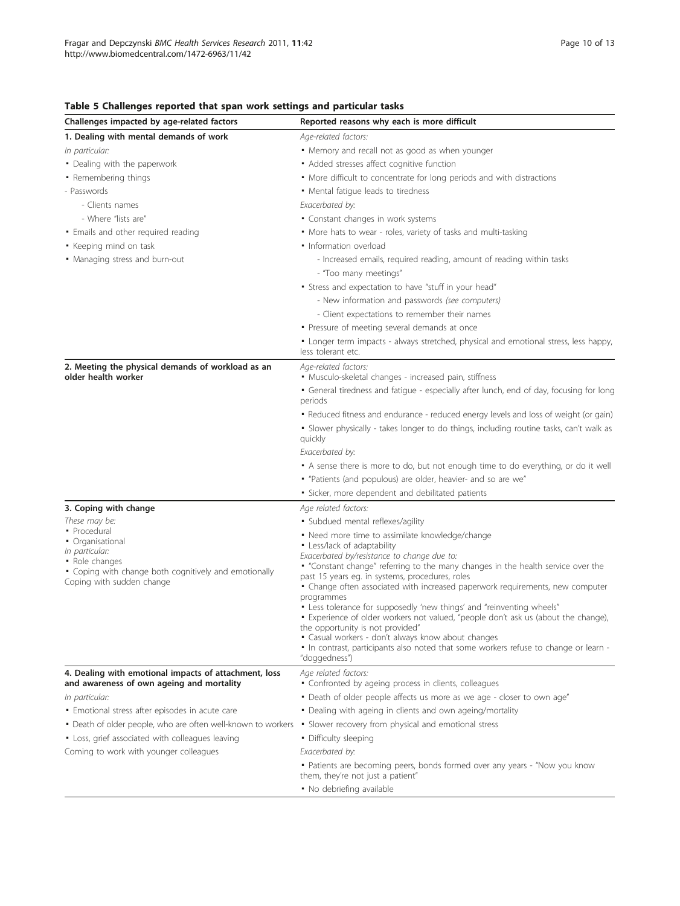| אנאז אינט כ אומוניוקפט וכפטונכט נווטג טפטור אטומ טכננווקט טווט פטונוכטוטר נטאמ<br>Challenges impacted by age-related factors                               | Reported reasons why each is more difficult                                                                                                                                                                                                                                                                                                                                  |
|------------------------------------------------------------------------------------------------------------------------------------------------------------|------------------------------------------------------------------------------------------------------------------------------------------------------------------------------------------------------------------------------------------------------------------------------------------------------------------------------------------------------------------------------|
| 1. Dealing with mental demands of work                                                                                                                     | Age-related factors:                                                                                                                                                                                                                                                                                                                                                         |
| In particular:                                                                                                                                             | . Memory and recall not as good as when younger                                                                                                                                                                                                                                                                                                                              |
| • Dealing with the paperwork                                                                                                                               | • Added stresses affect cognitive function                                                                                                                                                                                                                                                                                                                                   |
| • Remembering things                                                                                                                                       | • More difficult to concentrate for long periods and with distractions                                                                                                                                                                                                                                                                                                       |
| - Passwords                                                                                                                                                | • Mental fatigue leads to tiredness                                                                                                                                                                                                                                                                                                                                          |
| - Clients names                                                                                                                                            | Exacerbated by:                                                                                                                                                                                                                                                                                                                                                              |
| - Where "lists are"                                                                                                                                        | • Constant changes in work systems                                                                                                                                                                                                                                                                                                                                           |
| • Emails and other required reading                                                                                                                        | . More hats to wear - roles, variety of tasks and multi-tasking                                                                                                                                                                                                                                                                                                              |
| • Keeping mind on task                                                                                                                                     | • Information overload                                                                                                                                                                                                                                                                                                                                                       |
| • Managing stress and burn-out                                                                                                                             | - Increased emails, required reading, amount of reading within tasks                                                                                                                                                                                                                                                                                                         |
|                                                                                                                                                            | - "Too many meetings"                                                                                                                                                                                                                                                                                                                                                        |
|                                                                                                                                                            | • Stress and expectation to have "stuff in your head"                                                                                                                                                                                                                                                                                                                        |
|                                                                                                                                                            | - New information and passwords (see computers)                                                                                                                                                                                                                                                                                                                              |
|                                                                                                                                                            | - Client expectations to remember their names                                                                                                                                                                                                                                                                                                                                |
|                                                                                                                                                            | · Pressure of meeting several demands at once                                                                                                                                                                                                                                                                                                                                |
|                                                                                                                                                            | • Longer term impacts - always stretched, physical and emotional stress, less happy,<br>less tolerant etc.                                                                                                                                                                                                                                                                   |
| 2. Meeting the physical demands of workload as an<br>older health worker                                                                                   | Age-related factors:<br>· Musculo-skeletal changes - increased pain, stiffness                                                                                                                                                                                                                                                                                               |
|                                                                                                                                                            | • General tiredness and fatigue - especially after lunch, end of day, focusing for long<br>periods                                                                                                                                                                                                                                                                           |
|                                                                                                                                                            | • Reduced fitness and endurance - reduced energy levels and loss of weight (or gain)                                                                                                                                                                                                                                                                                         |
|                                                                                                                                                            | • Slower physically - takes longer to do things, including routine tasks, can't walk as<br>quickly                                                                                                                                                                                                                                                                           |
|                                                                                                                                                            | Exacerbated by:                                                                                                                                                                                                                                                                                                                                                              |
|                                                                                                                                                            | A sense there is more to do, but not enough time to do everything, or do it well                                                                                                                                                                                                                                                                                             |
|                                                                                                                                                            | "Patients (and populous) are older, heavier- and so are we"                                                                                                                                                                                                                                                                                                                  |
|                                                                                                                                                            | · Sicker, more dependent and debilitated patients                                                                                                                                                                                                                                                                                                                            |
| 3. Coping with change                                                                                                                                      | Age related factors:                                                                                                                                                                                                                                                                                                                                                         |
| These may be:                                                                                                                                              | · Subdued mental reflexes/agility                                                                                                                                                                                                                                                                                                                                            |
| • Procedural<br>• Organisational<br>In particular:<br>• Role changes<br>. Coping with change both cognitively and emotionally<br>Coping with sudden change | . Need more time to assimilate knowledge/change<br>· Less/lack of adaptability<br>Exacerbated by/resistance to change due to:<br>• "Constant change" referring to the many changes in the health service over the<br>past 15 years eg. in systems, procedures, roles<br>• Change often associated with increased paperwork requirements, new computer                        |
|                                                                                                                                                            | programmes<br>• Less tolerance for supposedly 'new things' and "reinventing wheels"<br>· Experience of older workers not valued, "people don't ask us (about the change),<br>the opportunity is not provided"<br>· Casual workers - don't always know about changes<br>. In contrast, participants also noted that some workers refuse to change or learn -<br>"doggedness") |
| 4. Dealing with emotional impacts of attachment, loss<br>and awareness of own ageing and mortality                                                         | Age related factors:<br>• Confronted by ageing process in clients, colleagues                                                                                                                                                                                                                                                                                                |
| In particular:                                                                                                                                             | • Death of older people affects us more as we age - closer to own age"                                                                                                                                                                                                                                                                                                       |
| · Emotional stress after episodes in acute care                                                                                                            | • Dealing with ageing in clients and own ageing/mortality                                                                                                                                                                                                                                                                                                                    |
| • Death of older people, who are often well-known to workers                                                                                               | • Slower recovery from physical and emotional stress                                                                                                                                                                                                                                                                                                                         |
| • Loss, grief associated with colleagues leaving                                                                                                           | • Difficulty sleeping                                                                                                                                                                                                                                                                                                                                                        |
| Coming to work with younger colleagues                                                                                                                     | Exacerbated by:                                                                                                                                                                                                                                                                                                                                                              |
|                                                                                                                                                            | • Patients are becoming peers, bonds formed over any years - "Now you know<br>them, they're not just a patient"<br>. No debriefing available                                                                                                                                                                                                                                 |

## <span id="page-9-0"></span>Table 5 Challenges reported that span work settings and particular tasks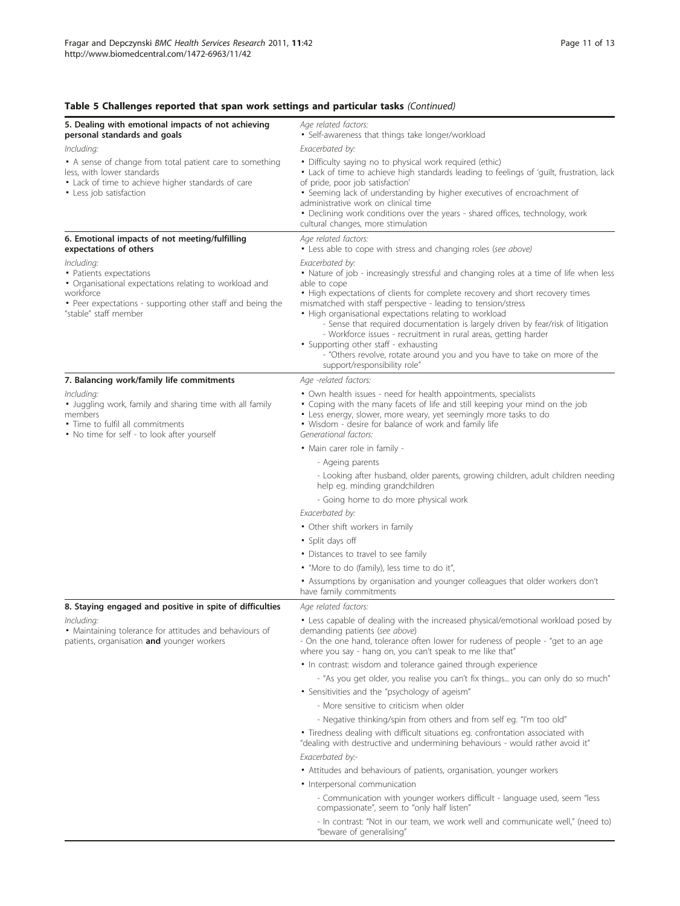## Table 5 Challenges reported that span work settings and particular tasks (Continued)

| 5. Dealing with emotional impacts of not achieving                                                                                                                                                  | Age related factors:                                                                                                                                                                                                                                                                                                                                                                                                                                                                                                                                                                                                |
|-----------------------------------------------------------------------------------------------------------------------------------------------------------------------------------------------------|---------------------------------------------------------------------------------------------------------------------------------------------------------------------------------------------------------------------------------------------------------------------------------------------------------------------------------------------------------------------------------------------------------------------------------------------------------------------------------------------------------------------------------------------------------------------------------------------------------------------|
| personal standards and goals                                                                                                                                                                        | • Self-awareness that things take longer/workload                                                                                                                                                                                                                                                                                                                                                                                                                                                                                                                                                                   |
| Including:                                                                                                                                                                                          | Exacerbated by:                                                                                                                                                                                                                                                                                                                                                                                                                                                                                                                                                                                                     |
| • A sense of change from total patient care to something<br>less, with lower standards<br>• Lack of time to achieve higher standards of care<br>• Less job satisfaction                             | · Difficulty saying no to physical work required (ethic)<br>• Lack of time to achieve high standards leading to feelings of 'guilt, frustration, lack<br>of pride, poor job satisfaction'<br>• Seeming lack of understanding by higher executives of encroachment of<br>administrative work on clinical time<br>• Declining work conditions over the years - shared offices, technology, work<br>cultural changes, more stimulation                                                                                                                                                                                 |
| 6. Emotional impacts of not meeting/fulfilling                                                                                                                                                      | Age related factors:                                                                                                                                                                                                                                                                                                                                                                                                                                                                                                                                                                                                |
| expectations of others                                                                                                                                                                              | • Less able to cope with stress and changing roles (see above)                                                                                                                                                                                                                                                                                                                                                                                                                                                                                                                                                      |
| Including:<br>• Patients expectations<br>• Organisational expectations relating to workload and<br>workforce<br>• Peer expectations - supporting other staff and being the<br>"stable" staff member | Exacerbated by:<br>• Nature of job - increasingly stressful and changing roles at a time of life when less<br>able to cope<br>• High expectations of clients for complete recovery and short recovery times<br>mismatched with staff perspective - leading to tension/stress<br>• High organisational expectations relating to workload<br>- Sense that required documentation is largely driven by fear/risk of litigation<br>- Workforce issues - recruitment in rural areas, getting harder<br>• Supporting other staff - exhausting<br>- "Others revolve, rotate around you and you have to take on more of the |
|                                                                                                                                                                                                     | support/responsibility role"                                                                                                                                                                                                                                                                                                                                                                                                                                                                                                                                                                                        |
| 7. Balancing work/family life commitments                                                                                                                                                           | Age -related factors:                                                                                                                                                                                                                                                                                                                                                                                                                                                                                                                                                                                               |
| Including:<br>. Juggling work, family and sharing time with all family<br>members<br>. Time to fulfil all commitments<br>• No time for self - to look after yourself                                | • Own health issues - need for health appointments, specialists<br>. Coping with the many facets of life and still keeping your mind on the job<br>• Less energy, slower, more weary, yet seemingly more tasks to do<br>• Wisdom - desire for balance of work and family life<br>Generational factors:                                                                                                                                                                                                                                                                                                              |
|                                                                                                                                                                                                     | • Main carer role in family -                                                                                                                                                                                                                                                                                                                                                                                                                                                                                                                                                                                       |
|                                                                                                                                                                                                     | - Ageing parents                                                                                                                                                                                                                                                                                                                                                                                                                                                                                                                                                                                                    |
|                                                                                                                                                                                                     | - Looking after husband, older parents, growing children, adult children needing<br>help eg. minding grandchildren                                                                                                                                                                                                                                                                                                                                                                                                                                                                                                  |
|                                                                                                                                                                                                     | - Going home to do more physical work                                                                                                                                                                                                                                                                                                                                                                                                                                                                                                                                                                               |
|                                                                                                                                                                                                     | Exacerbated by:                                                                                                                                                                                                                                                                                                                                                                                                                                                                                                                                                                                                     |
|                                                                                                                                                                                                     | • Other shift workers in family                                                                                                                                                                                                                                                                                                                                                                                                                                                                                                                                                                                     |
|                                                                                                                                                                                                     | • Split days off                                                                                                                                                                                                                                                                                                                                                                                                                                                                                                                                                                                                    |
|                                                                                                                                                                                                     | • Distances to travel to see family                                                                                                                                                                                                                                                                                                                                                                                                                                                                                                                                                                                 |
|                                                                                                                                                                                                     | • "More to do (family), less time to do it",<br>• Assumptions by organisation and younger colleagues that older workers don't                                                                                                                                                                                                                                                                                                                                                                                                                                                                                       |
|                                                                                                                                                                                                     | have family commitments                                                                                                                                                                                                                                                                                                                                                                                                                                                                                                                                                                                             |
| 8. Staying engaged and positive in spite of difficulties<br>Including:<br>• Maintaining tolerance for attitudes and behaviours of<br>patients, organisation and younger workers                     | Age related factors:<br>• Less capable of dealing with the increased physical/emotional workload posed by<br>demanding patients (see above)<br>- On the one hand, tolerance often lower for rudeness of people - "get to an age                                                                                                                                                                                                                                                                                                                                                                                     |
|                                                                                                                                                                                                     | where you say - hang on, you can't speak to me like that"                                                                                                                                                                                                                                                                                                                                                                                                                                                                                                                                                           |
|                                                                                                                                                                                                     | . In contrast: wisdom and tolerance gained through experience                                                                                                                                                                                                                                                                                                                                                                                                                                                                                                                                                       |
|                                                                                                                                                                                                     | - "As you get older, you realise you can't fix things you can only do so much"                                                                                                                                                                                                                                                                                                                                                                                                                                                                                                                                      |
|                                                                                                                                                                                                     | • Sensitivities and the "psychology of ageism"                                                                                                                                                                                                                                                                                                                                                                                                                                                                                                                                                                      |
|                                                                                                                                                                                                     | - More sensitive to criticism when older                                                                                                                                                                                                                                                                                                                                                                                                                                                                                                                                                                            |
|                                                                                                                                                                                                     | - Negative thinking/spin from others and from self eg. "I'm too old"                                                                                                                                                                                                                                                                                                                                                                                                                                                                                                                                                |
|                                                                                                                                                                                                     | • Tiredness dealing with difficult situations eg. confrontation associated with<br>"dealing with destructive and undermining behaviours - would rather avoid it"                                                                                                                                                                                                                                                                                                                                                                                                                                                    |
|                                                                                                                                                                                                     | Exacerbated by:-                                                                                                                                                                                                                                                                                                                                                                                                                                                                                                                                                                                                    |
|                                                                                                                                                                                                     | • Attitudes and behaviours of patients, organisation, younger workers                                                                                                                                                                                                                                                                                                                                                                                                                                                                                                                                               |
|                                                                                                                                                                                                     | • Interpersonal communication<br>- Communication with younger workers difficult - language used, seem "less<br>compassionate", seem to "only half listen"                                                                                                                                                                                                                                                                                                                                                                                                                                                           |
|                                                                                                                                                                                                     | - In contrast: "Not in our team, we work well and communicate well," (need to)<br>"beware of generalising"                                                                                                                                                                                                                                                                                                                                                                                                                                                                                                          |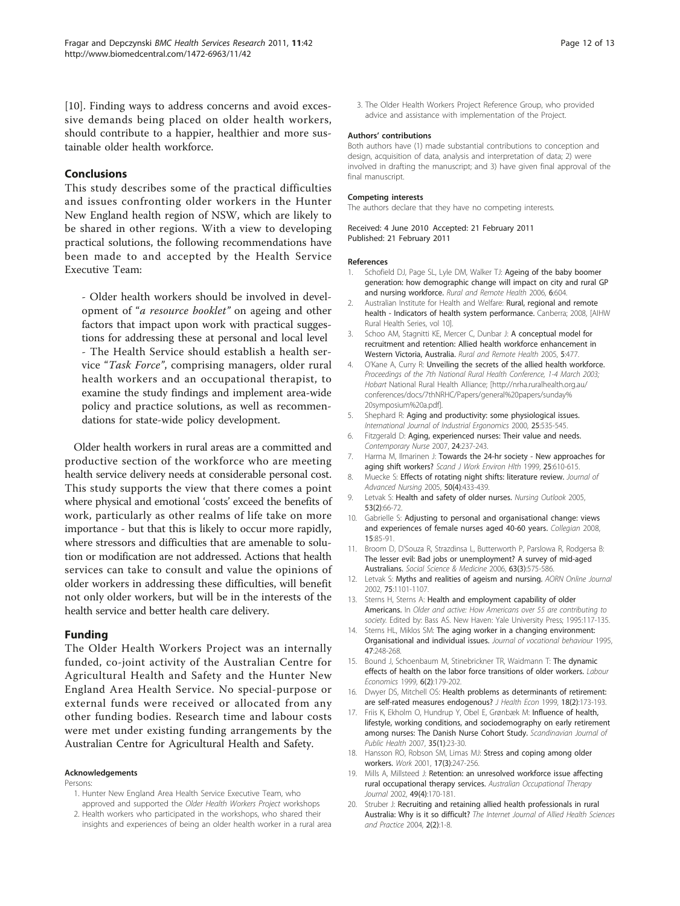<span id="page-11-0"></span>[10]. Finding ways to address concerns and avoid excessive demands being placed on older health workers, should contribute to a happier, healthier and more sustainable older health workforce.

#### Conclusions

This study describes some of the practical difficulties and issues confronting older workers in the Hunter New England health region of NSW, which are likely to be shared in other regions. With a view to developing practical solutions, the following recommendations have been made to and accepted by the Health Service Executive Team:

- Older health workers should be involved in development of "a resource booklet" on ageing and other factors that impact upon work with practical suggestions for addressing these at personal and local level - The Health Service should establish a health service "Task Force", comprising managers, older rural health workers and an occupational therapist, to examine the study findings and implement area-wide policy and practice solutions, as well as recommendations for state-wide policy development.

Older health workers in rural areas are a committed and productive section of the workforce who are meeting health service delivery needs at considerable personal cost. This study supports the view that there comes a point where physical and emotional 'costs' exceed the benefits of work, particularly as other realms of life take on more importance - but that this is likely to occur more rapidly, where stressors and difficulties that are amenable to solution or modification are not addressed. Actions that health services can take to consult and value the opinions of older workers in addressing these difficulties, will benefit not only older workers, but will be in the interests of the health service and better health care delivery.

### Funding

The Older Health Workers Project was an internally funded, co-joint activity of the Australian Centre for Agricultural Health and Safety and the Hunter New England Area Health Service. No special-purpose or external funds were received or allocated from any other funding bodies. Research time and labour costs were met under existing funding arrangements by the Australian Centre for Agricultural Health and Safety.

#### Acknowledgements

Persons:

- 1. Hunter New England Area Health Service Executive Team, who approved and supported the Older Health Workers Project workshops
- 2. Health workers who participated in the workshops, who shared their insights and experiences of being an older health worker in a rural area

3. The Older Health Workers Project Reference Group, who provided advice and assistance with implementation of the Project.

#### Authors' contributions

Both authors have (1) made substantial contributions to conception and design, acquisition of data, analysis and interpretation of data; 2) were involved in drafting the manuscript; and 3) have given final approval of the final manuscript.

#### Competing interests

The authors declare that they have no competing interests.

Received: 4 June 2010 Accepted: 21 February 2011 Published: 21 February 2011

#### References

- 1. Schofield DJ, Page SL, Lyle DM, Walker TJ: [Ageing of the baby boomer](http://www.ncbi.nlm.nih.gov/pubmed/17061915?dopt=Abstract) [generation: how demographic change will impact on city and rural GP](http://www.ncbi.nlm.nih.gov/pubmed/17061915?dopt=Abstract) [and nursing workforce.](http://www.ncbi.nlm.nih.gov/pubmed/17061915?dopt=Abstract) Rural and Remote Health 2006, 6:604.
- 2. Australian Institute for Health and Welfare: Rural, regional and remote health - Indicators of health system performance. Canberra; 2008, [AIHW Rural Health Series, vol 10].
- 3. Schoo AM, Stagnitti KE, Mercer C, Dunbar J: [A conceptual model for](http://www.ncbi.nlm.nih.gov/pubmed/16375575?dopt=Abstract) [recruitment and retention: Allied health workforce enhancement in](http://www.ncbi.nlm.nih.gov/pubmed/16375575?dopt=Abstract) [Western Victoria, Australia.](http://www.ncbi.nlm.nih.gov/pubmed/16375575?dopt=Abstract) Rural and Remote Health 2005, 5:477.
- 4. O'Kane A, Curry R: Unveiling the secrets of the allied health workforce. Proceedings of the 7th National Rural Health Conference, 1-4 March 2003; Hobart National Rural Health Alliance; [\[http://nrha.ruralhealth.org.au/](http://nrha.ruralhealth.org.au/conferences/docs/7thNRHC/Papers/general%20papers/sunday%20symposium%20a.pdf) [conferences/docs/7thNRHC/Papers/general%20papers/sunday%](http://nrha.ruralhealth.org.au/conferences/docs/7thNRHC/Papers/general%20papers/sunday%20symposium%20a.pdf) [20symposium%20a.pdf\]](http://nrha.ruralhealth.org.au/conferences/docs/7thNRHC/Papers/general%20papers/sunday%20symposium%20a.pdf).
- 5. Shephard R: Aging and productivity: some physiological issues. International Journal of Industrial Ergonomics 2000, 25:535-545.
- 6. Fitzgerald D: [Aging, experienced nurses: Their value and needs.](http://www.ncbi.nlm.nih.gov/pubmed/17563332?dopt=Abstract) Contemporary Nurse 2007, 24:237-243.
- 7. Harma M, Ilmarinen J: Towards the 24-hr society New approaches for aging shift workers? Scand J Work Environ Hlth 1999, 25:610-615.
- Muecke S: [Effects of rotating night shifts: literature review.](http://www.ncbi.nlm.nih.gov/pubmed/15842451?dopt=Abstract) Journal of Advanced Nursing 2005, 50(4):433-439.
- 9. Letvak S: [Health and safety of older nurses.](http://www.ncbi.nlm.nih.gov/pubmed/15858524?dopt=Abstract) Nursing Outlook 2005, 53(2):66-72.
- 10. Gabrielle S: [Adjusting to personal and organisational change: views](http://www.ncbi.nlm.nih.gov/pubmed/18780674?dopt=Abstract) [and experiences of female nurses aged 40-60 years.](http://www.ncbi.nlm.nih.gov/pubmed/18780674?dopt=Abstract) Collegian 2008, 15:85-91.
- 11. Broom D, D'Souza R, Strazdinsa L, Butterworth P, Parslowa R, Rodgersa B: The lesser evil: Bad jobs or unemployment? A survey of mid-aged Australians. Social Science & Medicine 2006, 63(3):575-586.
- 12. Letvak S: Myths and realities of ageism and nursing. AORN Online Journal 2002, 75:1101-1107.
- 13. Sterns H, Sterns A: Health and employment capability of older Americans. In Older and active: How Americans over 55 are contributing to society. Edited by: Bass AS. New Haven: Yale University Press; 1995:117-135.
- 14. Sterns HL, Miklos SM: The aging worker in a changing environment: Organisational and individual issues. Journal of vocational behaviour 1995, 47:248-268.
- 15. Bound J, Schoenbaum M, Stinebrickner TR, Waidmann T: The dynamic effects of health on the labor force transitions of older workers. Labour Economics 1999, 6(2):179-202.
- 16. Dwyer DS, Mitchell OS: [Health problems as determinants of retirement:](http://www.ncbi.nlm.nih.gov/pubmed/10346352?dopt=Abstract) [are self-rated measures endogenous?](http://www.ncbi.nlm.nih.gov/pubmed/10346352?dopt=Abstract) J Health Econ 1999, 18(2):173-193.
- 17. Friis K, Ekholm O, Hundrup Y, Obel E, Grønbæk M: [Influence of health,](http://www.ncbi.nlm.nih.gov/pubmed/17366084?dopt=Abstract) [lifestyle, working conditions, and sociodemography on early retirement](http://www.ncbi.nlm.nih.gov/pubmed/17366084?dopt=Abstract) [among nurses: The Danish Nurse Cohort Study.](http://www.ncbi.nlm.nih.gov/pubmed/17366084?dopt=Abstract) Scandinavian Journal of Public Health 2007, 35(1):23-30.
- 18. Hansson RO, Robson SM, Limas MJ: [Stress and coping among older](http://www.ncbi.nlm.nih.gov/pubmed/12441603?dopt=Abstract) [workers.](http://www.ncbi.nlm.nih.gov/pubmed/12441603?dopt=Abstract) Work 2001, 17(3):247-256.
- 19. Mills A, Millsteed J: Retention: an unresolved workforce issue affecting rural occupational therapy services. Australian Occupational Therapy Journal 2002, 49(4):170-181.
- 20. Struber J: Recruiting and retaining allied health professionals in rural Australia: Why is it so difficult? The Internet Journal of Allied Health Sciences and Practice 2004, 2(2):1-8.